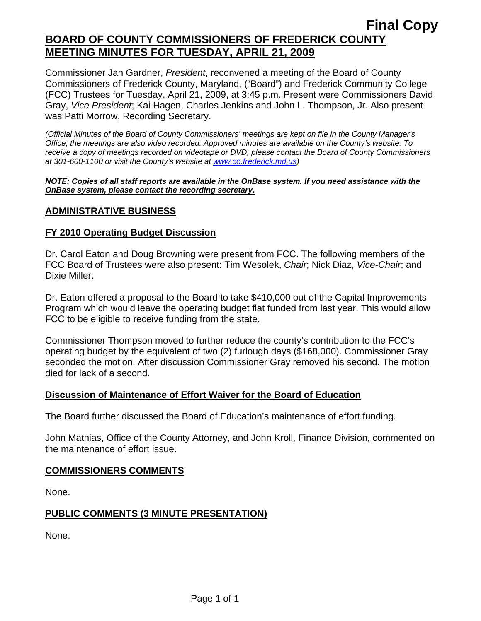Commissioner Jan Gardner, *President*, reconvened a meeting of the Board of County Commissioners of Frederick County, Maryland, ("Board") and Frederick Community College (FCC) Trustees for Tuesday, April 21, 2009, at 3:45 p.m. Present were Commissioners David Gray, *Vice President*; Kai Hagen, Charles Jenkins and John L. Thompson, Jr. Also present was Patti Morrow, Recording Secretary.

*(Official Minutes of the Board of County Commissioners' meetings are kept on file in the County Manager's Office; the meetings are also video recorded. Approved minutes are available on the County's website. To receive a copy of meetings recorded on videotape or DVD, please contact the Board of County Commissioners at 301-600-1100 or visit the County's website at [www.co.frederick.md.us\)](http://www.co.frederick.md.us/)* 

#### *NOTE: Copies of all staff reports are available in the OnBase system. If you need assistance with the OnBase system, please contact the recording secretary.*

## **ADMINISTRATIVE BUSINESS**

### **FY 2010 Operating Budget Discussion**

Dr. Carol Eaton and Doug Browning were present from FCC. The following members of the FCC Board of Trustees were also present: Tim Wesolek, *Chair*; Nick Diaz, *Vice-Chair*; and Dixie Miller.

Dr. Eaton offered a proposal to the Board to take \$410,000 out of the Capital Improvements Program which would leave the operating budget flat funded from last year. This would allow FCC to be eligible to receive funding from the state.

Commissioner Thompson moved to further reduce the county's contribution to the FCC's operating budget by the equivalent of two (2) furlough days (\$168,000). Commissioner Gray seconded the motion. After discussion Commissioner Gray removed his second. The motion died for lack of a second.

### **Discussion of Maintenance of Effort Waiver for the Board of Education**

The Board further discussed the Board of Education's maintenance of effort funding.

John Mathias, Office of the County Attorney, and John Kroll, Finance Division, commented on the maintenance of effort issue.

### **COMMISSIONERS COMMENTS**

None.

# **PUBLIC COMMENTS (3 MINUTE PRESENTATION)**

None.